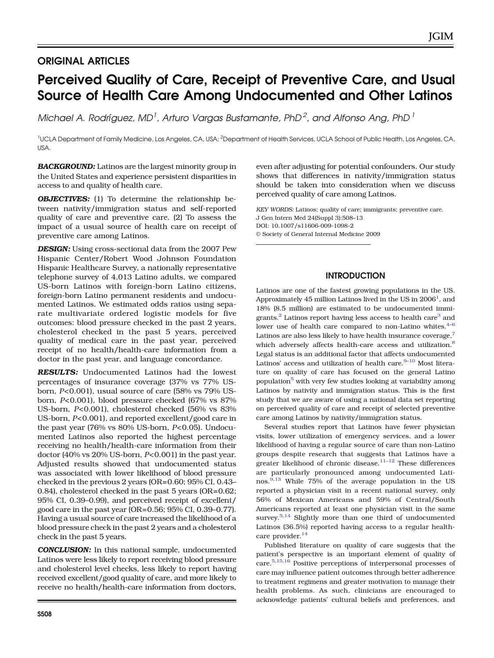# ORIGINAL ARTICLES

# Perceived Quality of Care, Receipt of Preventive Care, and Usual Source of Health Care Among Undocumented and Other Latinos

Michael A. Rodríguez, MD<sup>1</sup>, Arturo Vargas Bustamante, PhD<sup>2</sup>, and Alfonso Ang, PhD<sup>1</sup>

<sup>1</sup>UCLA Department of Family Medicine, Los Angeles, CA, USA; <sup>2</sup>Department of Health Services, UCLA School of Public Health, Los Angeles, CA, USA.

**BACKGROUND:** Latinos are the largest minority group in the United States and experience persistent disparities in access to and quality of health care.

**OBJECTIVES:** (1) To determine the relationship between nativity/immigration status and self-reported quality of care and preventive care. (2) To assess the impact of a usual source of health care on receipt of preventive care among Latinos.

DESIGN: Using cross-sectional data from the 2007 Pew Hispanic Center/Robert Wood Johnson Foundation Hispanic Healthcare Survey, a nationally representative telephone survey of 4,013 Latino adults, we compared US-born Latinos with foreign-born Latino citizens, foreign-born Latino permanent residents and undocumented Latinos. We estimated odds ratios using separate multivariate ordered logistic models for five outcomes: blood pressure checked in the past 2 years, cholesterol checked in the past 5 years, perceived quality of medical care in the past year, perceived receipt of no health/health-care information from a doctor in the past year, and language concordance.

RESULTS: Undocumented Latinos had the lowest percentages of insurance coverage (37% vs 77% USborn, P<0.001), usual source of care (58% vs 79% USborn, P<0.001), blood pressure checked (67% vs 87% US-born, P<0.001), cholesterol checked (56% vs 83% US-born, P<0.001), and reported excellent/good care in the past year (76% vs 80% US-born, P<0.05). Undocumented Latinos also reported the highest percentage receiving no health/health-care information from their doctor (40% vs 20% US-born, P<0.001) in the past year. Adjusted results showed that undocumented status was associated with lower likelihood of blood pressure checked in the previous 2 years (OR=0.60; 95% CI, 0.43– 0.84), cholesterol checked in the past 5 years (OR=0.62; 95% CI, 0.39–0.99), and perceived receipt of excellent/ good care in the past year (OR=0.56; 95% CI, 0.39–0.77). Having a usual source of care increased the likelihood of a blood pressure check in the past 2 years and a cholesterol check in the past 5 years.

CONCLUSION: In this national sample, undocumented Latinos were less likely to report receiving blood pressure and cholesterol level checks, less likely to report having received excellent/good quality of care, and more likely to receive no health/health-care information from doctors, even after adjusting for potential confounders. Our study shows that differences in nativity/immigration status should be taken into consideration when we discuss perceived quality of care among Latinos.

KEY WORDS: Latinos; quality of care; immigrants; preventive care. J Gen Intern Med 24(Suppl 3):508–13 DOI: 10.1007/s11606-009-1098-2 © Society of General Internal Medicine 2009

# INTRODUCTION

Latinos are one of the fastest growing populations in the US. Approximately 45 million Latinos lived in the US in 2006 $^{\rm l}$ , and 18% (8.5 million) are estimated to be undocumented immigrants. $^{2}$  $^{2}$  $^{2}$  Latinos report having less access to health care $^{3}$  $^{3}$  $^{3}$  and lower use of health care compared to non-Latino whites. $4-6$  $4-6$  $4-6$ Latinos are also less likely to have health insurance coverage,<sup>[7](#page-5-0)</sup> which adversely affects health-care access and utilization.<sup>[8](#page-5-0)</sup> Legal status is an additional factor that affects undocumented Latinos' access and utilization of health care. $9-10$  $9-10$  $9-10$  Most literature on quality of care has focused on the general Latino population<sup>[5](#page-5-0)</sup> with very few studies looking at variability among Latinos by nativity and immigration status. This is the first study that we are aware of using a national data set reporting on perceived quality of care and receipt of selected preventive care among Latinos by nativity/immigration status.

Several studies report that Latinos have fewer physician visits, lower utilization of emergency services, and a lower likelihood of having a regular source of care than non-Latino groups despite research that suggests that Latinos have a greater likelihood of chronic disease. $11-12$  $11-12$  $11-12$  These differences are particularly pronounced among undocumented Latinos.[9,13](#page-5-0) While 75% of the average population in the US reported a physician visit in a recent national survey, only 56% of Mexican Americans and 59% of Central/South Americans reported at least one physician visit in the same survey.<sup>[5,14](#page-5-0)</sup> Slightly more than one third of undocumented Latinos (36.5%) reported having access to a regular health-care provider.<sup>[14](#page-5-0)</sup>

Published literature on quality of care suggests that the patient's perspective is an important element of quality of care.[5,15,16](#page-5-0) Positive perceptions of interpersonal processes of care may influence patient outcomes through better adherence to treatment regimens and greater motivation to manage their health problems. As such, clinicians are encouraged to acknowledge patients' cultural beliefs and preferences, and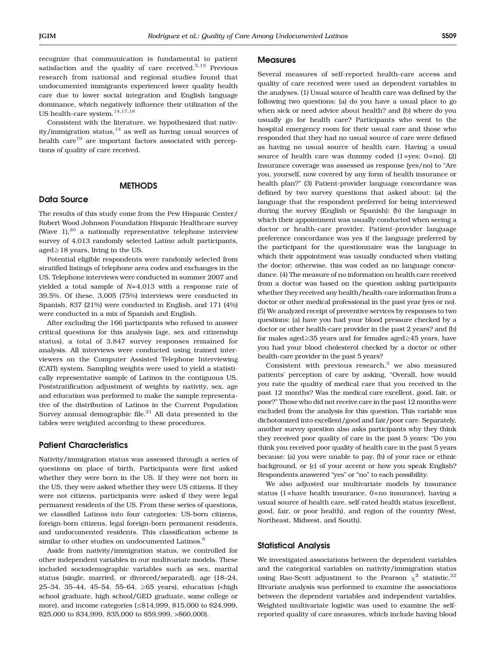recognize that communication is fundamental to patient satisfaction and the quality of care received. $5,15$  Previous research from national and regional studies found that undocumented immigrants experienced lower quality health care due to lower social integration and English language dominance, which negatively influence their utilization of the US health-care system.[14,17,18](#page-5-0)

Consistent with the literature, we hypothesized that nativity/immigration status,<sup>14</sup> as well as having usual sources of health care<sup>[19](#page-5-0)</sup> are important factors associated with perceptions of quality of care received.

## **METHODS**

#### Data Source

The results of this study come from the Pew Hispanic Center/ Robert Wood Johnson Foundation Hispanic Healthcare survey (Wave  $1$ ),<sup>[20](#page-5-0)</sup> a nationally representative telephone interview survey of 4,013 randomly selected Latino adult participants, aged≥18 years, living in the US.

Potential eligible respondents were randomly selected from stratified listings of telephone area codes and exchanges in the US. Telephone interviews were conducted in summer 2007 and yielded a total sample of N=4,013 with a response rate of 39.5%. Of these, 3,005 (75%) interviews were conducted in Spanish, 837 (21%) were conducted in English, and 171 (4%) were conducted in a mix of Spanish and English.

After excluding the 166 participants who refused to answer critical questions for this analysis (age, sex and citizenship status), a total of 3,847 survey responses remained for analysis. All interviews were conducted using trained interviewers on the Computer Assisted Telephone Interviewing (CATI) system. Sampling weights were used to yield a statistically representative sample of Latinos in the contiguous US. Poststratification adjustment of weights by nativity, sex, age and education was performed to make the sample representative of the distribution of Latinos in the Current Population Survey annual demographic file. $^{21}$  All data presented in the tables were weighted according to these procedures.

#### Patient Characteristics

Nativity/immigration status was assessed through a series of questions on place of birth. Participants were first asked whether they were born in the US. If they were not born in the US, they were asked whether they were US citizens. If they were not citizens, participants were asked if they were legal permanent residents of the US. From these series of questions, we classified Latinos into four categories: US-born citizens, foreign-born citizens, legal foreign-born permanent residents, and undocumented residents. This classification scheme is similar to other studies on undocumented Latinos.<sup>[6](#page-5-0)</sup>

Aside from nativity/immigration status, we controlled for other independent variables in our multivariate models. These included sociodemographic variables such as sex, marital status (single, married, or divorced/separated), age (18–24, 25–34, 35–44, 45–54, 55–64, ≥65 years), education (<high school graduate, high school/GED graduate, some college or more), and income categories (≤\$14,999, \$15,000 to \$24,999, \$25,000 to \$34,999, \$35,000 to \$59,999, >\$60,000).

#### **Measures**

Several measures of self-reported health-care access and quality of care received were used as dependent variables in the analyses. (1) Usual source of health care was defined by the following two questions: (a) do you have a usual place to go when sick or need advice about health? and (b) where do you usually go for health care? Participants who went to the hospital emergency room for their usual care and those who responded that they had no usual source of care were defined as having no usual source of health care. Having a usual source of health care was dummy coded (1=yes; 0=no). (2) Insurance coverage was assessed as response (yes/no) to "Are you, yourself, now covered by any form of health insurance or health plan?" (3) Patient-provider language concordance was defined by two survey questions that asked about: (a) the language that the respondent preferred for being interviewed during the survey (English or Spanish); (b) the language in which their appointment was usually conducted when seeing a doctor or health-care provider. Patient-provider language preference concordance was yes if the language preferred by the participant for the questionnaire was the language in which their appointment was usually conducted when visiting the doctor; otherwise, this was coded as no language concordance. (4) The measure of no information on health care received from a doctor was based on the question asking participants whether they received any health/health-care information from a doctor or other medical professional in the past year (yes or no). (5) We analyzed receipt of preventive services by responses to two questions: (a) have you had your blood pressure checked by a doctor or other health-care provider in the past 2 years? and (b) for males aged≥35 years and for females aged≥45 years, have you had your blood cholesterol checked by a doctor or other health-care provider in the past 5 years?

Consistent with previous research, $5$  we also measured patients' perception of care by asking, "Overall, how would you rate the quality of medical care that you received in the past 12 months? Was the medical care excellent, good, fair, or poor?" Those who did not receive care in the past 12 months were excluded from the analysis for this question. This variable was dichotomized into excellent/good and fair/poor care. Separately, another survey question also asks participants why they think they received poor quality of care in the past 5 years: "Do you think you received poor quality of health care in the past 5 years because: (a) you were unable to pay, (b) of your race or ethnic background, or (c) of your accent or how you speak English? Respondents answered "yes" or "no" to each possibility.

We also adjusted our multivariate models by insurance status (1=have health insurance, 0=no insurance), having a usual source of health care, self-rated health status (excellent, good, fair, or poor health), and region of the country (West, Northeast, Midwest, and South).

#### Statistical Analysis

We investigated associations between the dependent variables and the categorical variables on nativity/immigration status using Rao-Scott adjustment to the Pearson  $\chi^2$  statistic.<sup>[22](#page-5-0)</sup> Bivariate analysis was performed to examine the associations between the dependent variables and independent variables. Weighted multivariate logistic was used to examine the selfreported quality of care measures, which include having blood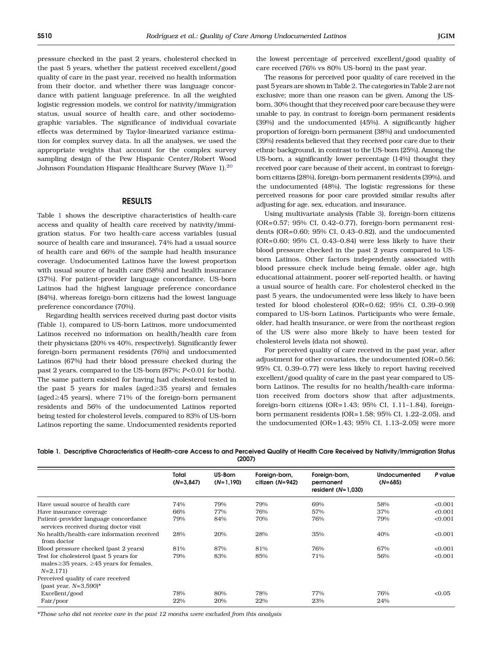pressure checked in the past 2 years, cholesterol checked in the past 5 years, whether the patient received excellent/good quality of care in the past year, received no health information from their doctor, and whether there was language concordance with patient language preference. In all the weighted logistic regression models, we control for nativity/immigration status, usual source of health care, and other sociodemographic variables. The significance of individual covariate effects was determined by Taylor-linearized variance estimation for complex survey data. In all the analyses, we used the appropriate weights that account for the complex survey sampling design of the Pew Hispanic Center/Robert Wood Johnson Foundation Hispanic Healthcare Survey (Wave 1).<sup>[20](#page-5-0)</sup>

#### RESULTS

Table 1 shows the descriptive characteristics of health-care access and quality of health care received by nativity/immigration status. For two health-care access variables (usual source of health care and insurance), 74% had a usual source of health care and 66% of the sample had health insurance coverage. Undocumented Latinos have the lowest proportion with usual source of health care (58%) and health insurance (37%). For patient-provider language concordance, US-born Latinos had the highest language preference concordance (84%), whereas foreign-born citizens had the lowest language preference concordance (70%).

Regarding health services received during past doctor visits (Table 1), compared to US-born Latinos, more undocumented Latinos received no information on health/health care from their physicians (20% vs 40%, respectively). Significantly fewer foreign-born permanent residents (76%) and undocumented Latinos (67%) had their blood pressure checked during the past 2 years, compared to the US-born (87%; P<0.01 for both). The same pattern existed for having had cholesterol tested in the past 5 years for males (aged≥35 years) and females (aged≥45 years), where 71% of the foreign-born permanent residents and 56% of the undocumented Latinos reported being tested for cholesterol levels, compared to 83% of US-born Latinos reporting the same. Undocumented residents reported the lowest percentage of perceived excellent/good quality of care received (76% vs 80% US-born) in the past year.

The reasons for perceived poor quality of care received in the past 5 years are shown in Table [2](#page-3-0). The categories in Table 2 are not exclusive; more than one reason can be given. Among the USborn, 30% thought that they received poor care because they were unable to pay, in contrast to foreign-born permanent residents (39%) and the undocumented (45%). A significantly higher proportion of foreign-born permanent (38%) and undocumented (39%) residents believed that they received poor care due to their ethnic background, in contrast to the US-born (25%). Among the US-born, a significantly lower percentage (14%) thought they received poor care because of their accent, in contrast to foreignborn citizens (28%), foreign-born permanent residents (39%), and the undocumented (48%). The logistic regressions for these perceived reasons for poor care provided similar results after adjusting for age, sex, education, and insurance.

Using multivariate analysis (Table [3](#page-3-0)), foreign-born citizens (OR=0.57; 95% CI, 0.42–0.77), foreign-born permanent residents (OR=0.60; 95% CI, 0.43–0.82), and the undocumented (OR=0.60; 95% CI, 0.43–0.84) were less likely to have their blood pressure checked in the past 2 years compared to USborn Latinos. Other factors independently associated with blood pressure check include being female, older age, high educational attainment, poorer self-reported health, or having a usual source of health care. For cholesterol checked in the past 5 years, the undocumented were less likely to have been tested for blood cholesterol (OR=0.62; 95% CI, 0.39–0.99) compared to US-born Latinos. Participants who were female, older, had health insurance, or were from the northeast region of the US were also more likely to have been tested for cholesterol levels (data not shown).

For perceived quality of care received in the past year, after adjustment for other covariates, the undocumented (OR=0.56; 95% CI, 0.39–0.77) were less likely to report having received excellent/good quality of care in the past year compared to USborn Latinos. The results for no health/health-care information received from doctors show that after adjustments, foreign-born citizens (OR=1.43; 95% CI, 1.11–1.84), foreignborn permanent residents (OR=1.58; 95% CI, 1.22–2.05), and the undocumented (OR=1.43; 95% CI, 1.13–2.05) were more

|  | Table 1. Descriptive Characteristics of Health-care Access to and Perceived Quality of Health Care Received by Nativity/Immigration Status |  |        |  |  |  |  |
|--|--------------------------------------------------------------------------------------------------------------------------------------------|--|--------|--|--|--|--|
|  |                                                                                                                                            |  | (2007) |  |  |  |  |

|                                                                                                            | Total       | US-Born     | Foreign-born,   | Foreign-born,                     | <b>Undocumented</b> | P value |
|------------------------------------------------------------------------------------------------------------|-------------|-------------|-----------------|-----------------------------------|---------------------|---------|
|                                                                                                            | $(N=3,847)$ | $(N=1,190)$ | citizen (N=942) | permanent<br>resident $(N=1.030)$ | $(N=685)$           |         |
| Have usual source of health care                                                                           | 74%         | 79%         | 79%             | 69%                               | 58%                 | < 0.001 |
| Have insurance coverage                                                                                    | 66%         | 77%         | 76%             | 57%                               | 37%                 | < 0.001 |
| Patient-provider language concordance<br>services received during doctor visit                             | 79%         | 84%         | 70%             | 76%                               | 79%                 | < 0.001 |
| No health/health-care information received<br>from doctor                                                  | 28%         | 20%         | 28%             | 35%                               | 40%                 | < 0.001 |
| Blood pressure checked (past 2 years)                                                                      | 81%         | 87%         | 81%             | 76%                               | 67%                 | < 0.001 |
| Test for cholesterol (past 5 years for<br>males $\geq$ 35 years, $\geq$ 45 years for females,<br>$N=2,171$ | 79%         | 83%         | 85%             | 71%                               | 56%                 | < 0.001 |
| Perceived quality of care received                                                                         |             |             |                 |                                   |                     |         |
| (past year, $N=3,590$ )*                                                                                   |             |             |                 |                                   |                     |         |
| Excellent/good                                                                                             | 78%         | 80%         | 78%             | 77%                               | 76%                 | < 0.05  |
| Fair/poor                                                                                                  | 22%         | 20%         | 22%             | 23%                               | 24%                 |         |

\*Those who did not receive care in the past 12 months were excluded from this analysis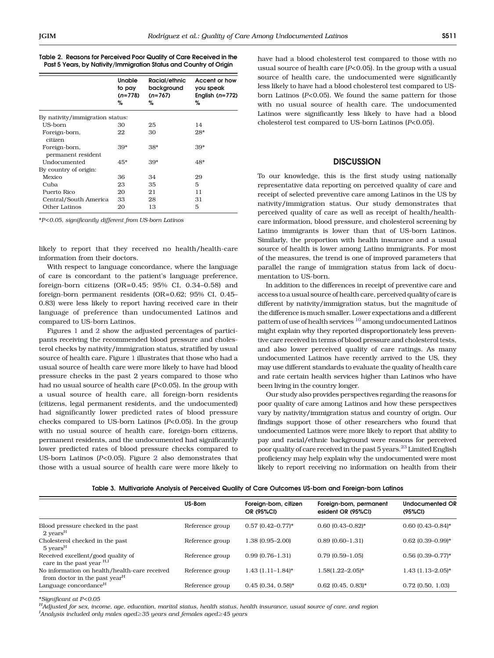<span id="page-3-0"></span>

|  |  |  | Table 2. Reasons for Perceived Poor Quality of Care Received in the |  |
|--|--|--|---------------------------------------------------------------------|--|
|  |  |  | Past 5 Years, by Nativity/Immigration Status and Country of Origin  |  |

|                                     | Unable<br>to pay<br>$(n=778)$<br>% | Racial/ethnic<br>background<br>$(n=767)$<br>% | Accent or how<br>you speak<br>English $(n=772)$<br>% |
|-------------------------------------|------------------------------------|-----------------------------------------------|------------------------------------------------------|
| By nativity/immigration status:     |                                    |                                               |                                                      |
| US-born                             | 30                                 | 25                                            | 14                                                   |
| Foreign-born,<br>citizen            | 22                                 | 30                                            | $28*$                                                |
| Foreign-born,<br>permanent resident | $39*$                              | 38*                                           | $39*$                                                |
| Undocumented                        | $45*$                              | 39*                                           | 48*                                                  |
| By country of origin:               |                                    |                                               |                                                      |
| Mexico                              | 36                                 | 34                                            | 29                                                   |
| Cuba                                | 23                                 | 35                                            | 5                                                    |
| Puerto Rico                         | 20                                 | 21                                            | 11                                                   |
| Central/South America               | 33                                 | 28                                            | 31                                                   |
| Other Latinos                       | 20                                 | 13                                            | 5                                                    |

\*P<0.05, significantly different from US-born Latinos

likely to report that they received no health/health-care information from their doctors.

With respect to language concordance, where the language of care is concordant to the patient's language preference, foreign-born citizens (OR=0.45; 95% CI, 0.34–0.58) and foreign-born permanent residents (OR=0.62; 95% CI, 0.45– 0.83) were less likely to report having received care in their language of preference than undocumented Latinos and compared to US-born Latinos.

Figures [1](#page-4-0) and [2](#page-4-0) show the adjusted percentages of participants receiving the recommended blood pressure and cholesterol checks by nativity/immigration status, stratified by usual source of health care. Figure [1](#page-4-0) illustrates that those who had a usual source of health care were more likely to have had blood pressure checks in the past 2 years compared to those who had no usual source of health care  $(P<0.05)$ . In the group with a usual source of health care, all foreign-born residents (citizens, legal permanent residents, and the undocumented) had significantly lower predicted rates of blood pressure checks compared to US-born Latinos (P<0.05). In the group with no usual source of health care, foreign-born citizens, permanent residents, and the undocumented had significantly lower predicted rates of blood pressure checks compared to US-born Latinos ( $P<0.05$ ). Figure [2](#page-4-0) also demonstrates that those with a usual source of health care were more likely to have had a blood cholesterol test compared to those with no usual source of health care  $(P<0.05)$ . In the group with a usual source of health care, the undocumented were significantly less likely to have had a blood cholesterol test compared to USborn Latinos ( $P<0.05$ ). We found the same pattern for those with no usual source of health care. The undocumented Latinos were significantly less likely to have had a blood cholesterol test compared to US-born Latinos (P<0.05).

### **DISCUSSION**

To our knowledge, this is the first study using nationally representative data reporting on perceived quality of care and receipt of selected preventive care among Latinos in the US by nativity/immigration status. Our study demonstrates that perceived quality of care as well as receipt of health/healthcare information, blood pressure, and cholesterol screening by Latino immigrants is lower than that of US-born Latinos. Similarly, the proportion with health insurance and a usual source of health is lower among Latino immigrants. For most of the measures, the trend is one of improved parameters that parallel the range of immigration status from lack of documentation to US-born.

In addition to the differences in receipt of preventive care and access to a usual source of health care, perceived quality of care is different by nativity/immigration status, but the magnitude of the difference is much smaller. Lower expectations and a different pattern of use of health services [10](#page-5-0) among undocumented Latinos might explain why they reported disproportionately less preventive care received in terms of blood pressure and cholesterol tests, and also lower perceived quality of care ratings. As many undocumented Latinos have recently arrived to the US, they may use different standards to evaluate the quality of health care and rate certain health services higher than Latinos who have been living in the country longer.

Our study also provides perspectives regarding the reasons for poor quality of care among Latinos and how these perspectives vary by nativity/immigration status and country of origin. Our findings support those of other researchers who found that undocumented Latinos were more likely to report that ability to pay and racial/ethnic background were reasons for perceived poor quality of care received in the past 5 years.<sup>23</sup> Limited English proficiency may help explain why the undocumented were most likely to report receiving no information on health from their

|  |  |  | Table 3. Multivariate Analysis of Perceived Quality of Care Outcomes US-born and Foreign-born Latinos |  |  |  |  |  |  |
|--|--|--|-------------------------------------------------------------------------------------------------------|--|--|--|--|--|--|
|--|--|--|-------------------------------------------------------------------------------------------------------|--|--|--|--|--|--|

|                                                                                            | US-Born         | Foreign-born, citizen<br>OR (95%CI) | Foreign-born, permanent<br>esident OR (95%CI) | <b>Undocumented OR</b><br>(95%CI) |
|--------------------------------------------------------------------------------------------|-----------------|-------------------------------------|-----------------------------------------------|-----------------------------------|
| Blood pressure checked in the past<br>$2 \text{ years}$ <sup>H</sup>                       | Reference group | $0.57$ $(0.42 - 0.77)^*$            | $0.60$ $(0.43 - 0.82)$ *                      | $0.60$ $(0.43 - 0.84)$ *          |
| Cholesterol checked in the past<br>$5 \text{ years}^H$                                     | Reference group | 1.38 (0.95-2.00)                    | $0.89(0.60-1.31)$                             | $0.62$ (0.39-0.99)*               |
| Received excellent/good quality of<br>care in the past year H <sub>J</sub> I               | Reference group | $0.99(0.76-1.31)$                   | $0.79(0.59-1.05)$                             | $0.56$ (0.39-0.77)*               |
| No information on health/health-care received<br>from doctor in the past year <sup>H</sup> | Reference group | $1.43(1.11-1.84)$ *                 | $1.58(1.22 - 2.05)^*$                         | $1.43(1.13-2.05)^*$               |
| Language concordance <sup>H</sup>                                                          | Reference group | $0.45$ (0.34, 0.58)*                | $0.62$ (0.45, 0.83)*                          | $0.72$ (0.50, 1.03)               |

\*Significant at P<0.05

 $^H$ Adjusted for sex, income, age, education, marital status, health status, health insurance, usual source of care, and region <sup>I</sup>Analysis included only males aged≥35 years and females aged≥45 years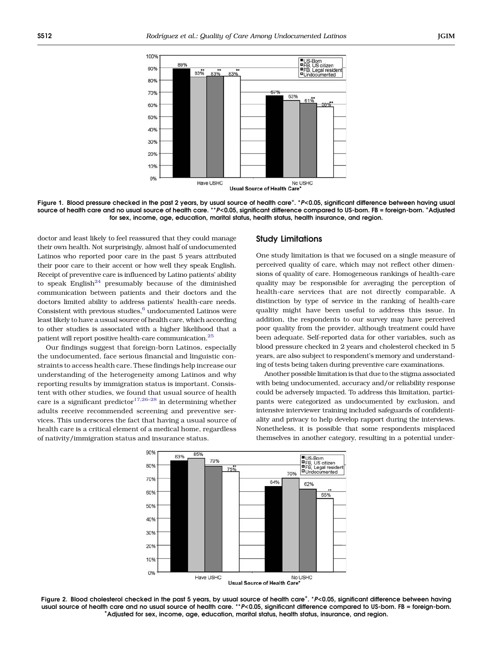<span id="page-4-0"></span>

Figure 1. Blood pressure checked in the past 2 years, by usual source of health care<sup>+</sup>. \*P<0.05, significant difference between having usual<br>source of health care and no usual source of health care \*\*P<0.05, significant d source of health care and no usual source of health care. \*\*P<0.05, significant difference compared to US-born. FB = foreign-born. <sup>+</sup> Adjusted for sex, income, age, education, marital status, health status, health insurance, and region.

doctor and least likely to feel reassured that they could manage their own health. Not surprisingly, almost half of undocumented Latinos who reported poor care in the past 5 years attributed their poor care to their accent or how well they speak English. Receipt of preventive care is influenced by Latino patients' ability to speak English $^{24}$  $^{24}$  $^{24}$  presumably because of the diminished communication between patients and their doctors and the doctors limited ability to address patients' health-care needs. Consistent with previous studies, $^6$  $^6$  undocumented Latinos were least likely to have a usual source of health care, which according to other studies is associated with a higher likelihood that a patient will report positive health-care communication.[25](#page-5-0)

Our findings suggest that foreign-born Latinos, especially the undocumented, face serious financial and linguistic constraints to access health care. These findings help increase our understanding of the heterogeneity among Latinos and why reporting results by immigration status is important. Consistent with other studies, we found that usual source of health care is a significant predictor<sup>[17,26](#page-5-0)–[28](#page-5-0)</sup> in determining whether adults receive recommended screening and preventive services. This underscores the fact that having a usual source of health care is a critical element of a medical home, regardless of nativity/immigration status and insurance status.

#### Study Limitations

One study limitation is that we focused on a single measure of perceived quality of care, which may not reflect other dimensions of quality of care. Homogeneous rankings of health-care quality may be responsible for averaging the perception of health-care services that are not directly comparable. A distinction by type of service in the ranking of health-care quality might have been useful to address this issue. In addition, the respondents to our survey may have perceived poor quality from the provider, although treatment could have been adequate. Self-reported data for other variables, such as blood pressure checked in 2 years and cholesterol checked in 5 years, are also subject to respondent's memory and understanding of tests being taken during preventive care examinations.

Another possible limitation is that due to the stigma associated with being undocumented, accuracy and/or reliability response could be adversely impacted. To address this limitation, participants were categorized as undocumented by exclusion, and intensive interviewer training included safeguards of confidentiality and privacy to help develop rapport during the interviews. Nonetheless, it is possible that some respondents misplaced themselves in another category, resulting in a potential under-



Figure 2. Blood cholesterol checked in the past 5 years, by usual source of health care<sup>+</sup>. \*P<0.05, significant difference between having<br>Usual source of health care and no usual source of health care \*\*P<0.05, significa usual source of health care and no usual source of health care. \*\*P<0.05, significant difference compared to US-born. FB = foreign-born. Adjusted for sex, income, age, education, marital status, health status, insurance, and region.